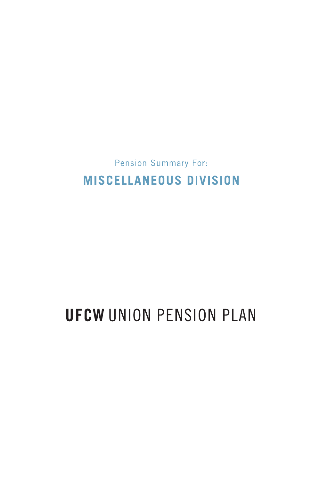**Pension Summary For: MISCELLANEOUS DIVISION** 

# **UFCW UNION PENSION PLAN**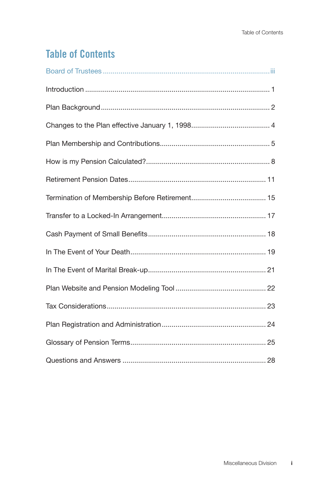# **Table of Contents**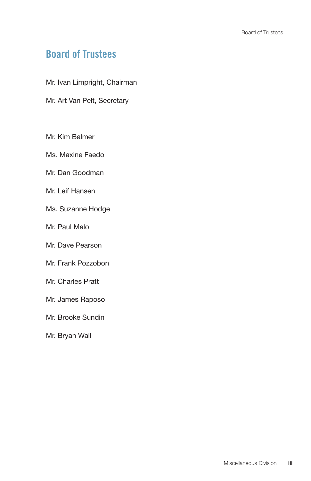## **Board of Trustees**

- Mr. Ivan Limpright, Chairman
- Mr. Art Van Pelt, Secretary
- Mr. Kim Balmer
- Ms. Maxine Faedo
- Mr. Dan Goodman
- Mr. Leif Hansen
- Ms. Suzanne Hodge
- Mr. Paul Malo
- Mr. Dave Pearson
- Mr. Frank Pozzobon
- Mr. Charles Pratt
- Mr. James Raposo
- Mr. Brooke Sundin
- Mr. Bryan Wall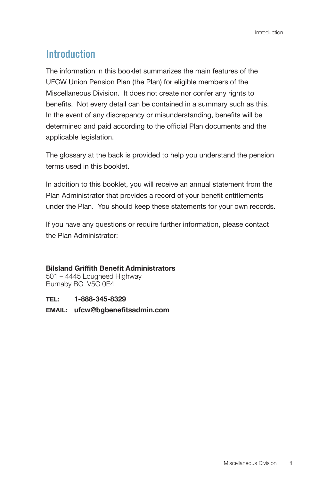# **Introduction**

The information in this booklet summarizes the main features of the UFCW Union Pension Plan (the Plan) for eligible members of the Miscellaneous Division. It does not create nor confer any rights to benefits. Not every detail can be contained in a summary such as this. In the event of any discrepancy or misunderstanding, benefits will be determined and paid according to the official Plan documents and the applicable legislation.

The glossary at the back is provided to help you understand the pension terms used in this booklet.

In addition to this booklet, you will receive an annual statement from the Plan Administrator that provides a record of your benefit entitlements under the Plan. You should keep these statements for your own records.

If you have any questions or require further information, please contact the Plan Administrator:

#### **Bilsland Griffith Benefit Administrators**

501 – 4445 Lougheed Highway Burnaby BC V5C 0E4

**TEL: 1-888-345-8329**

#### **EMAIL: ufcw@bgbenefitsadmin.com**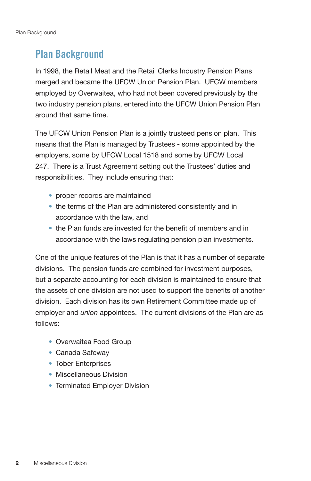### **Plan Background**

In 1998, the Retail Meat and the Retail Clerks Industry Pension Plans merged and became the UFCW Union Pension Plan. UFCW members employed by Overwaitea, who had not been covered previously by the two industry pension plans, entered into the UFCW Union Pension Plan around that same time.

The UFCW Union Pension Plan is a jointly trusteed pension plan. This means that the Plan is managed by Trustees - some appointed by the employers, some by UFCW Local 1518 and some by UFCW Local 247. There is a Trust Agreement setting out the Trustees' duties and responsibilities. They include ensuring that:

- proper records are maintained
- the terms of the Plan are administered consistently and in accordance with the law, and
- the Plan funds are invested for the benefit of members and in accordance with the laws regulating pension plan investments.

One of the unique features of the Plan is that it has a number of separate divisions. The pension funds are combined for investment purposes, but a separate accounting for each division is maintained to ensure that the assets of one division are not used to support the benefits of another division. Each division has its own Retirement Committee made up of employer and *union* appointees. The current divisions of the Plan are as follows:

- Overwaitea Food Group
- Canada Safeway
- Tober Enterprises
- Miscellaneous Division
- Terminated Employer Division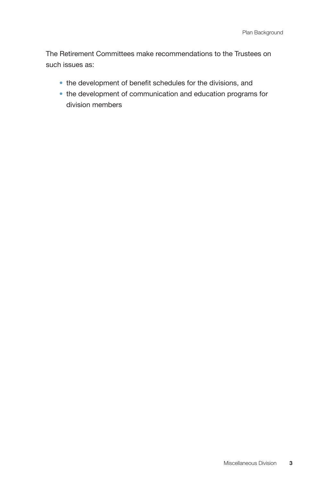The Retirement Committees make recommendations to the Trustees on such issues as:

- the development of benefit schedules for the divisions, and
- the development of communication and education programs for division members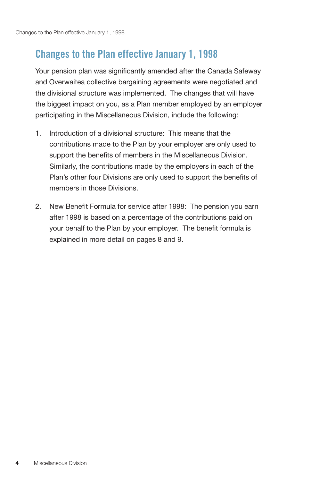### **Changes to the Plan effective January 1, 1998**

Your pension plan was significantly amended after the Canada Safeway and Overwaitea collective bargaining agreements were negotiated and the divisional structure was implemented. The changes that will have the biggest impact on you, as a Plan member employed by an employer participating in the Miscellaneous Division, include the following:

- 1. Introduction of a divisional structure: This means that the contributions made to the Plan by your employer are only used to support the benefits of members in the Miscellaneous Division. Similarly, the contributions made by the employers in each of the Plan's other four Divisions are only used to support the benefits of members in those Divisions.
- 2. New Benefit Formula for service after 1998: The pension you earn after 1998 is based on a percentage of the contributions paid on your behalf to the Plan by your employer. The benefit formula is explained in more detail on pages 8 and 9.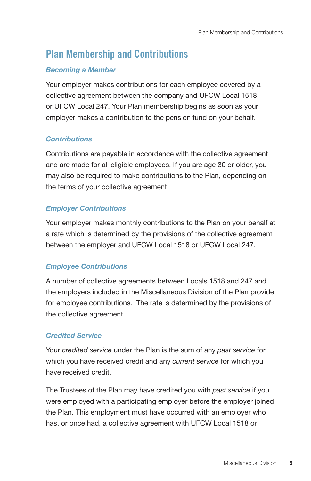# **Plan Membership and Contributions**

### *Becoming a Member*

Your employer makes contributions for each employee covered by a collective agreement between the company and UFCW Local 1518 or UFCW Local 247. Your Plan membership begins as soon as your employer makes a contribution to the pension fund on your behalf.

### *Contributions*

Contributions are payable in accordance with the collective agreement and are made for all eligible employees. If you are age 30 or older, you may also be required to make contributions to the Plan, depending on the terms of your collective agreement.

### *Employer Contributions*

Your employer makes monthly contributions to the Plan on your behalf at a rate which is determined by the provisions of the collective agreement between the employer and UFCW Local 1518 or UFCW Local 247.

#### *Employee Contributions*

A number of collective agreements between Locals 1518 and 247 and the employers included in the Miscellaneous Division of the Plan provide for employee contributions. The rate is determined by the provisions of the collective agreement.

#### *Credited Service*

Your *credited service* under the Plan is the sum of any *past service* for which you have received credit and any *current service* for which you have received credit.

The Trustees of the Plan may have credited you with *past service* if you were employed with a participating employer before the employer joined the Plan. This employment must have occurred with an employer who has, or once had, a collective agreement with UFCW Local 1518 or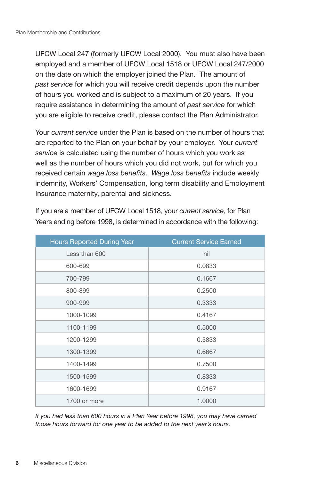UFCW Local 247 (formerly UFCW Local 2000). You must also have been employed and a member of UFCW Local 1518 or UFCW Local 247/2000 on the date on which the employer joined the Plan. The amount of *past service* for which you will receive credit depends upon the number of hours you worked and is subject to a maximum of 20 years. If you require assistance in determining the amount of *past service* for which you are eligible to receive credit, please contact the Plan Administrator.

Your *current service* under the Plan is based on the number of hours that are reported to the Plan on your behalf by your employer. Your *current service* is calculated using the number of hours which you work as well as the number of hours which you did not work, but for which you received certain *wage loss benefits*. *Wage loss benefits* include weekly indemnity, Workers' Compensation, long term disability and Employment Insurance maternity, parental and sickness.

| <b>Hours Reported During Year</b> | <b>Current Service Earned</b> |
|-----------------------------------|-------------------------------|
| Less than 600                     | nil                           |
| 600-699                           | 0.0833                        |
| 700-799                           | 0.1667                        |
| 800-899                           | 0.2500                        |
| 900-999                           | 0.3333                        |
| 1000-1099                         | 0.4167                        |
| 1100-1199                         | 0.5000                        |
| 1200-1299                         | 0.5833                        |
| 1300-1399                         | 0.6667                        |
| 1400-1499                         | 0.7500                        |
| 1500-1599                         | 0.8333                        |
| 1600-1699                         | 0.9167                        |
| 1700 or more                      | 1.0000                        |

If you are a member of UFCW Local 1518, your *current service*, for Plan Years ending before 1998, is determined in accordance with the following:

*If you had less than 600 hours in a Plan Year before 1998, you may have carried those hours forward for one year to be added to the next year's hours.*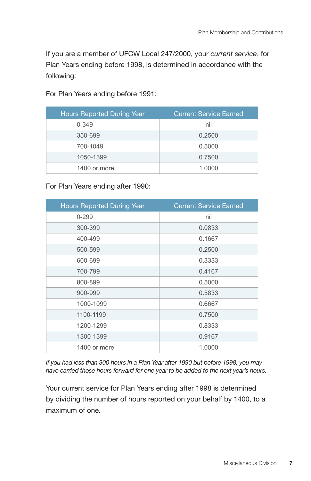If you are a member of UFCW Local 247/2000, your *current service*, for Plan Years ending before 1998, is determined in accordance with the following:

For Plan Years ending before 1991:

| <b>Hours Reported During Year</b> | <b>Current Service Earned</b> |
|-----------------------------------|-------------------------------|
| $0 - 349$                         | nil                           |
| 350-699                           | 0.2500                        |
| 700-1049                          | 0.5000                        |
| 1050-1399                         | 0.7500                        |
| 1400 or more                      | 1.0000                        |

For Plan Years ending after 1990:

| Hours Reported During Year | <b>Current Service Earned</b> |
|----------------------------|-------------------------------|
| $0 - 299$                  | nil                           |
| 300-399                    | 0.0833                        |
| 400-499                    | 0.1667                        |
| 500-599                    | 0.2500                        |
| 600-699                    | 0.3333                        |
| 700-799                    | 0.4167                        |
| 800-899                    | 0.5000                        |
| 900-999                    | 0.5833                        |
| 1000-1099                  | 0.6667                        |
| 1100-1199                  | 0.7500                        |
| 1200-1299                  | 0.8333                        |
| 1300-1399                  | 0.9167                        |
| 1400 or more               | 1.0000                        |

*If you had less than 300 hours in a Plan Year after 1990 but before 1998, you may have carried those hours forward for one year to be added to the next year's hours.* 

Your current service for Plan Years ending after 1998 is determined by dividing the number of hours reported on your behalf by 1400, to a maximum of one.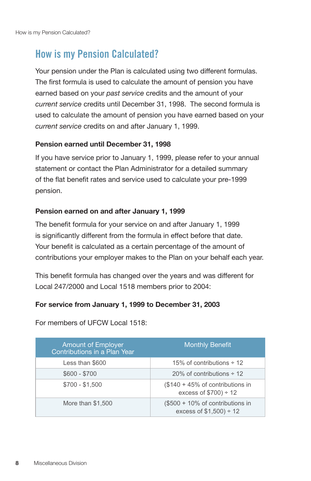## **How is my Pension Calculated?**

Your pension under the Plan is calculated using two different formulas. The first formula is used to calculate the amount of pension you have earned based on your *past service* credits and the amount of your *current service* credits until December 31, 1998. The second formula is used to calculate the amount of pension you have earned based on your *current service* credits on and after January 1, 1999.

#### **Pension earned until December 31, 1998**

If you have service prior to January 1, 1999, please refer to your annual statement or contact the Plan Administrator for a detailed summary of the flat benefit rates and service used to calculate your pre-1999 pension.

#### **Pension earned on and after January 1, 1999**

The benefit formula for your service on and after January 1, 1999 is significantly different from the formula in effect before that date. Your benefit is calculated as a certain percentage of the amount of contributions your employer makes to the Plan on your behalf each year.

This benefit formula has changed over the years and was different for Local 247/2000 and Local 1518 members prior to 2004:

#### **For service from January 1, 1999 to December 31, 2003**

| <b>Amount of Employer</b><br>Contributions in a Plan Year | <b>Monthly Benefit</b>                                      |
|-----------------------------------------------------------|-------------------------------------------------------------|
| Less than \$600                                           | 15% of contributions $\div$ 12                              |
| $$600 - $700$                                             | 20% of contributions $\div$ 12                              |
| $$700 - $1,500$                                           | (\$140 + 45% of contributions in<br>excess of $$700$ ) ÷ 12 |
| More than \$1,500                                         | (\$500 + 10% of contributions in<br>excess of $$1,500$ ÷ 12 |

For members of UFCW Local 1518: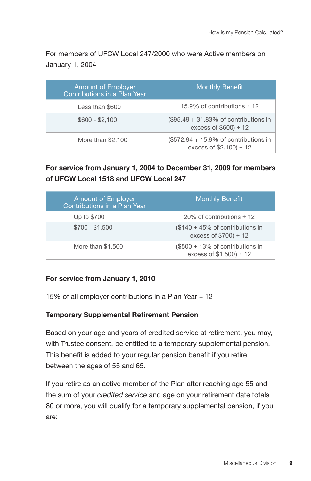For members of UFCW Local 247/2000 who were Active members on January 1, 2004

| <b>Amount of Employer</b><br>Contributions in a Plan Year | <b>Monthly Benefit</b>                                              |
|-----------------------------------------------------------|---------------------------------------------------------------------|
| Less than \$600                                           | 15.9% of contributions $\div$ 12                                    |
| $$600 - $2,100$                                           | $(\$95.49 + 31.83\%$ of contributions in<br>excess of $$600$ ) ÷ 12 |
| More than \$2,100                                         | $(\$572.94 + 15.9\%$ of contributions in<br>excess of $$2,100$ ÷ 12 |

### **For service from January 1, 2004 to December 31, 2009 for members of UFCW Local 1518 and UFCW Local 247**

| <b>Amount of Employer</b><br>Contributions in a Plan Year | <b>Monthly Benefit</b>                                                |
|-----------------------------------------------------------|-----------------------------------------------------------------------|
| Up to \$700                                               | 20% of contributions $\div$ 12                                        |
| $$700 - $1.500$                                           | $($140 + 45\% \text{ of contributions in}$<br>excess of $$700$ ) ÷ 12 |
| More than \$1,500                                         | (\$500 + 13% of contributions in<br>excess of $$1,500$ ÷ 12           |

#### **For service from January 1, 2010**

15% of all employer contributions in a Plan Year  $\div$  12

#### **Temporary Supplemental Retirement Pension**

Based on your age and years of credited service at retirement, you may, with Trustee consent, be entitled to a temporary supplemental pension. This benefit is added to your regular pension benefit if you retire between the ages of 55 and 65.

If you retire as an active member of the Plan after reaching age 55 and the sum of your *credited service* and age on your retirement date totals 80 or more, you will qualify for a temporary supplemental pension, if you are: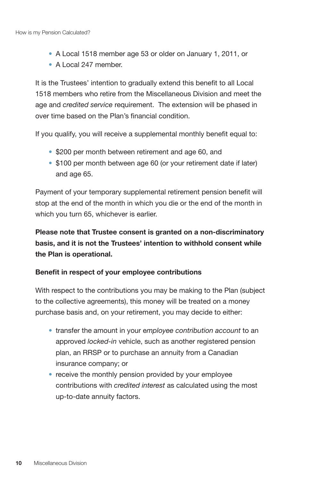- A Local 1518 member age 53 or older on January 1, 2011, or
- A Local 247 member.

It is the Trustees' intention to gradually extend this benefit to all Local 1518 members who retire from the Miscellaneous Division and meet the age and *credited service* requirement. The extension will be phased in over time based on the Plan's financial condition.

If you qualify, you will receive a supplemental monthly benefit equal to:

- \$200 per month between retirement and age 60, and
- \$100 per month between age 60 (or your retirement date if later) and age 65.

Payment of your temporary supplemental retirement pension benefit will stop at the end of the month in which you die or the end of the month in which you turn 65, whichever is earlier.

**Please note that Trustee consent is granted on a non-discriminatory basis, and it is not the Trustees' intention to withhold consent while the Plan is operational.**

#### **Benefit in respect of your employee contributions**

With respect to the contributions you may be making to the Plan (subject to the collective agreements), this money will be treated on a money purchase basis and, on your retirement, you may decide to either:

- transfer the amount in your e*mployee contribution account* to an approved *locked-in* vehicle, such as another registered pension plan, an RRSP or to purchase an annuity from a Canadian insurance company; or
- receive the monthly pension provided by your employee contributions with *credited interest* as calculated using the most up-to-date annuity factors.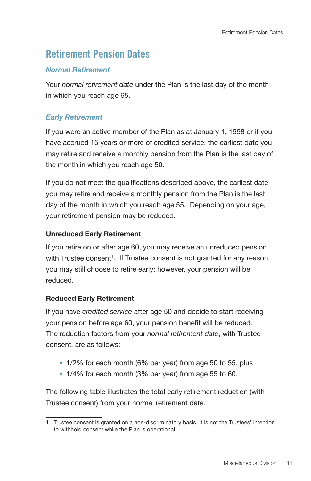## **Retirement Pension Dates**

#### *Normal Retirement*

Your *normal retirement date* under the Plan is the last day of the month in which you reach age 65.

#### *Early Retirement*

If you were an active member of the Plan as at January 1, 1998 or if you have accrued 15 years or more of credited service, the earliest date you may retire and receive a monthly pension from the Plan is the last day of the month in which you reach age 50.

If you do not meet the qualifications described above, the earliest date you may retire and receive a monthly pension from the Plan is the last day of the month in which you reach age 55. Depending on your age, your retirement pension may be reduced.

#### **Unreduced Early Retirement**

If you retire on or after age 60, you may receive an unreduced pension with Trustee consent<sup>1</sup>. If Trustee consent is not granted for any reason, you may still choose to retire early; however, your pension will be reduced.

#### **Reduced Early Retirement**

If you have *credited service* after age 50 and decide to start receiving your pension before age 60, your pension benefit will be reduced. The reduction factors from your *normal retirement date*, with Trustee consent, are as follows:

- 1/2% for each month (6% per year) from age 50 to 55, plus
- 1/4% for each month (3% per year) from age 55 to 60.

The following table illustrates the total early retirement reduction (with Trustee consent) from your normal retirement date.

<sup>1</sup> Trustee consent is granted on a non-discriminatory basis. It is not the Trustees' intention to withhold consent while the Plan is operational.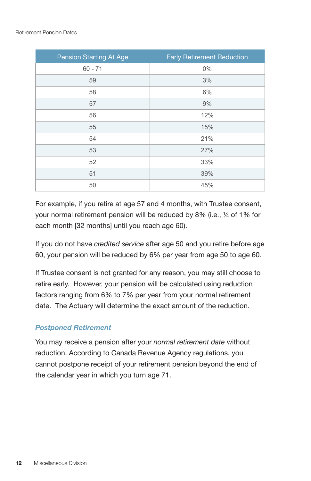| Pension Starting At Age | <b>Early Retirement Reduction</b> |
|-------------------------|-----------------------------------|
| $60 - 71$               | $0\%$                             |
| 59                      | 3%                                |
| 58                      | 6%                                |
| 57                      | 9%                                |
| 56                      | 12%                               |
| 55                      | 15%                               |
| 54                      | 21%                               |
| 53                      | 27%                               |
| 52                      | 33%                               |
| 51                      | 39%                               |
| 50                      | 45%                               |

For example, if you retire at age 57 and 4 months, with Trustee consent, your normal retirement pension will be reduced by 8% (i.e., ¼ of 1% for each month [32 months] until you reach age 60).

If you do not have *credited service* after age 50 and you retire before age 60, your pension will be reduced by 6% per year from age 50 to age 60.

If Trustee consent is not granted for any reason, you may still choose to retire early. However, your pension will be calculated using reduction factors ranging from 6% to 7% per year from your normal retirement date. The Actuary will determine the exact amount of the reduction.

### *Postponed Retirement*

You may receive a pension after your *normal retirement date* without reduction. According to Canada Revenue Agency regulations, you cannot postpone receipt of your retirement pension beyond the end of the calendar year in which you turn age 71.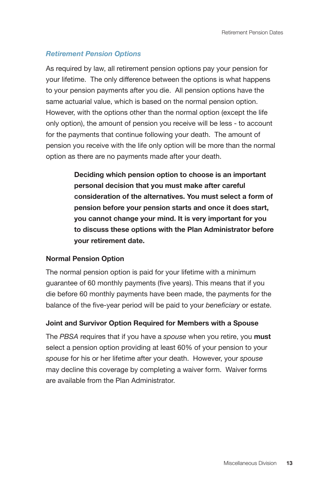#### *Retirement Pension Options*

As required by law, all retirement pension options pay your pension for your lifetime. The only difference between the options is what happens to your pension payments after you die. All pension options have the same actuarial value, which is based on the normal pension option. However, with the options other than the normal option (except the life only option), the amount of pension you receive will be less - to account for the payments that continue following your death. The amount of pension you receive with the life only option will be more than the normal option as there are no payments made after your death.

> **Deciding which pension option to choose is an important personal decision that you must make after careful consideration of the alternatives. You must select a form of pension before your pension starts and once it does start, you cannot change your mind. It is very important for you to discuss these options with the Plan Administrator before your retirement date.**

#### **Normal Pension Option**

The normal pension option is paid for your lifetime with a minimum guarantee of 60 monthly payments (five years). This means that if you die before 60 monthly payments have been made, the payments for the balance of the five-year period will be paid to your *beneficiary* or estate.

#### **Joint and Survivor Option Required for Members with a Spouse**

The *PBSA* requires that if you have a *spouse* when you retire, you **must** select a pension option providing at least 60% of your pension to your *spouse* for his or her lifetime after your death. However, your *spouse* may decline this coverage by completing a waiver form. Waiver forms are available from the Plan Administrator.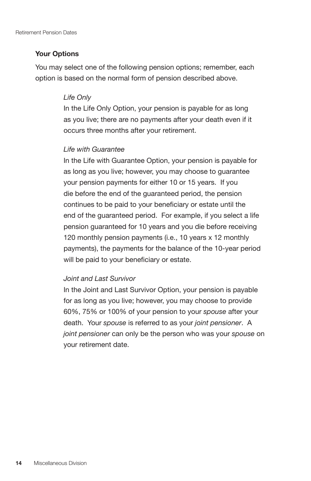#### **Your Options**

You may select one of the following pension options; remember, each option is based on the normal form of pension described above.

#### *Life Only*

In the Life Only Option, your pension is payable for as long as you live; there are no payments after your death even if it occurs three months after your retirement.

#### *Life with Guarantee*

In the Life with Guarantee Option, your pension is payable for as long as you live; however, you may choose to guarantee your pension payments for either 10 or 15 years. If you die before the end of the guaranteed period, the pension continues to be paid to your beneficiary or estate until the end of the guaranteed period. For example, if you select a life pension guaranteed for 10 years and you die before receiving 120 monthly pension payments (i.e., 10 years x 12 monthly payments), the payments for the balance of the 10-year period will be paid to your beneficiary or estate.

#### *Joint and Last Survivor*

In the Joint and Last Survivor Option, your pension is payable for as long as you live; however, you may choose to provide 60%, 75% or 100% of your pension to your *spouse* after your death. Your *spouse* is referred to as your *joint pensioner*. A *joint pensioner* can only be the person who was your *spouse* on your retirement date.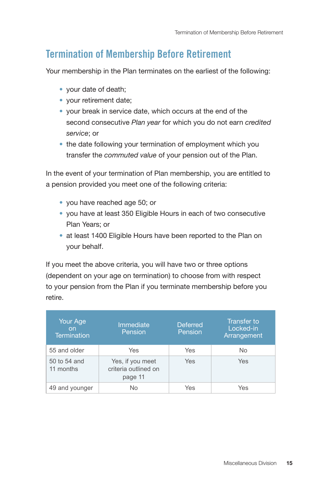### **Termination of Membership Before Retirement**

Your membership in the Plan terminates on the earliest of the following:

- your date of death;
- your retirement date;
- your break in service date, which occurs at the end of the second consecutive *Plan year* for which you do not earn *credited service*; or
- the date following your termination of employment which you transfer the *commuted value* of your pension out of the Plan.

In the event of your termination of Plan membership, you are entitled to a pension provided you meet one of the following criteria:

- you have reached age 50; or
- you have at least 350 Eligible Hours in each of two consecutive Plan Years; or
- at least 1400 Eligible Hours have been reported to the Plan on your behalf.

If you meet the above criteria, you will have two or three options (dependent on your age on termination) to choose from with respect to your pension from the Plan if you terminate membership before you retire.

| Your Age<br>on<br><b>Termination</b> | Immediate<br>Pension                                | <b>Deferred</b><br>Pension | Transfer to<br>Locked-in<br>Arrangement |
|--------------------------------------|-----------------------------------------------------|----------------------------|-----------------------------------------|
| 55 and older                         | Yes                                                 | Yes                        | No                                      |
| 50 to 54 and<br>11 months            | Yes, if you meet<br>criteria outlined on<br>page 11 | Yes                        | Yes                                     |
| 49 and younger                       | No                                                  | Yes                        | Yes                                     |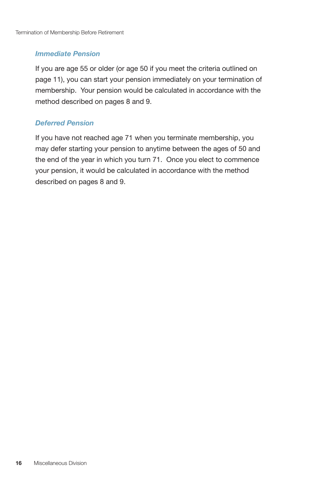#### *Immediate Pension*

If you are age 55 or older (or age 50 if you meet the criteria outlined on page 11), you can start your pension immediately on your termination of membership. Your pension would be calculated in accordance with the method described on pages 8 and 9.

#### *Deferred Pension*

If you have not reached age 71 when you terminate membership, you may defer starting your pension to anytime between the ages of 50 and the end of the year in which you turn 71. Once you elect to commence your pension, it would be calculated in accordance with the method described on pages 8 and 9.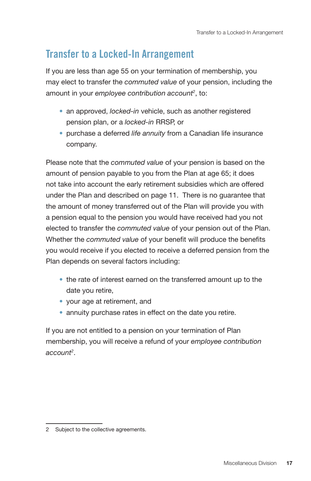### **Transfer to a Locked-In Arrangement**

If you are less than age 55 on your termination of membership, you may elect to transfer the *commuted value* of your pension, including the amount in your *employee contribution account2* , to:

- an approved, *locked-in* vehicle, such as another registered pension plan, or a *locked-in* RRSP, or
- purchase a deferred *life annuity* from a Canadian life insurance company.

Please note that the *commuted value* of your pension is based on the amount of pension payable to you from the Plan at age 65; it does not take into account the early retirement subsidies which are offered under the Plan and described on page 11. There is no guarantee that the amount of money transferred out of the Plan will provide you with a pension equal to the pension you would have received had you not elected to transfer the *commuted value* of your pension out of the Plan. Whether the *commuted value* of your benefit will produce the benefits you would receive if you elected to receive a deferred pension from the Plan depends on several factors including:

- the rate of interest earned on the transferred amount up to the date you retire,
- your age at retirement, and
- annuity purchase rates in effect on the date you retire.

If you are not entitled to a pension on your termination of Plan membership, you will receive a refund of your *employee contribution account2* .

<sup>2</sup> Subject to the collective agreements.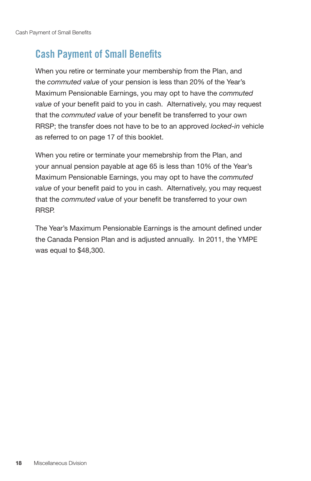# **Cash Payment of Small Benefits**

When you retire or terminate your membership from the Plan, and the *commuted value* of your pension is less than 20% of the Year's Maximum Pensionable Earnings, you may opt to have the *commuted value* of your benefit paid to you in cash. Alternatively, you may request that the *commuted value* of your benefit be transferred to your own RRSP; the transfer does not have to be to an approved *locked-in* vehicle as referred to on page 17 of this booklet.

When you retire or terminate your memebrship from the Plan, and your annual pension payable at age 65 is less than 10% of the Year's Maximum Pensionable Earnings, you may opt to have the *commuted value* of your benefit paid to you in cash. Alternatively, you may request that the *commuted value* of your benefit be transferred to your own RRSP.

The Year's Maximum Pensionable Earnings is the amount defined under the Canada Pension Plan and is adjusted annually. In 2011, the YMPE was equal to \$48,300.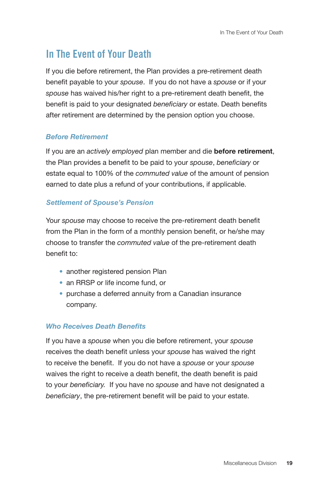### **In The Event of Your Death**

If you die before retirement, the Plan provides a pre-retirement death benefit payable to your *spouse*. If you do not have a *spouse* or if your *spouse* has waived his/her right to a pre-retirement death benefit, the benefit is paid to your designated *beneficiary* or estate. Death benefits after retirement are determined by the pension option you choose.

#### *Before Retirement*

If you are an *actively employed* plan member and die **before retirement**, the Plan provides a benefit to be paid to your *spouse*, *beneficiary* or estate equal to 100% of the *commuted value* of the amount of pension earned to date plus a refund of your contributions, if applicable.

#### *Settlement of Spouse's Pension*

Your *spouse* may choose to receive the pre-retirement death benefit from the Plan in the form of a monthly pension benefit, or he/she may choose to transfer the *commuted value* of the pre-retirement death benefit to:

- another registered pension Plan
- an RRSP or life income fund, or
- purchase a deferred annuity from a Canadian insurance company.

#### *Who Receives Death Benefits*

If you have a *spouse* when you die before retirement, your *spouse* receives the death benefit unless your *spouse* has waived the right to receive the benefit. If you do not have a *spouse* or your *spouse* waives the right to receive a death benefit, the death benefit is paid to your *beneficiary.* If you have no *spouse* and have not designated a *beneficiary*, the pre-retirement benefit will be paid to your estate.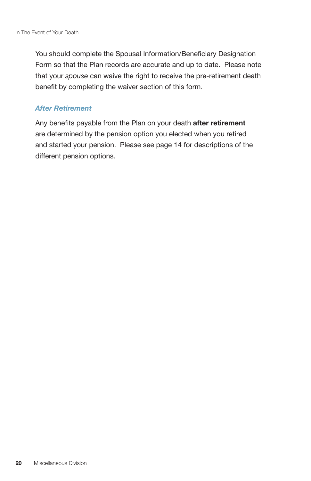You should complete the Spousal Information/Beneficiary Designation Form so that the Plan records are accurate and up to date. Please note that your *spouse* can waive the right to receive the pre-retirement death benefit by completing the waiver section of this form.

#### *After Retirement*

Any benefits payable from the Plan on your death **after retirement** are determined by the pension option you elected when you retired and started your pension. Please see page 14 for descriptions of the different pension options.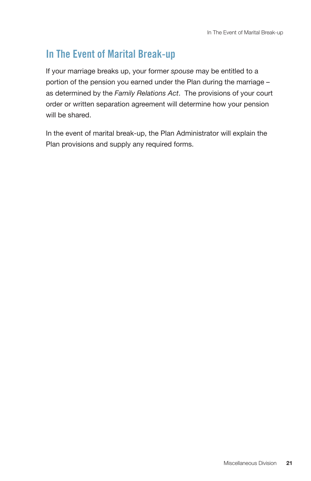### **In The Event of Marital Break-up**

If your marriage breaks up, your former *spouse* may be entitled to a portion of the pension you earned under the Plan during the marriage – as determined by the *Family Relations Act*. The provisions of your court order or written separation agreement will determine how your pension will be shared.

In the event of marital break-up, the Plan Administrator will explain the Plan provisions and supply any required forms.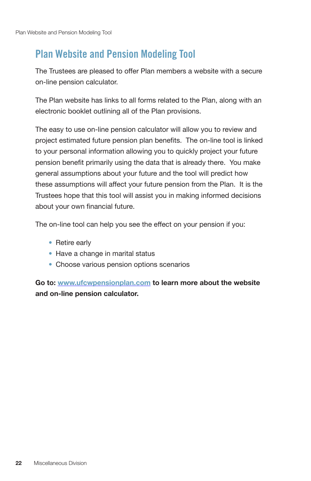### **Plan Website and Pension Modeling Tool**

The Trustees are pleased to offer Plan members a website with a secure on-line pension calculator.

The Plan website has links to all forms related to the Plan, along with an electronic booklet outlining all of the Plan provisions.

The easy to use on-line pension calculator will allow you to review and project estimated future pension plan benefits. The on-line tool is linked to your personal information allowing you to quickly project your future pension benefit primarily using the data that is already there. You make general assumptions about your future and the tool will predict how these assumptions will affect your future pension from the Plan. It is the Trustees hope that this tool will assist you in making informed decisions about your own financial future.

The on-line tool can help you see the effect on your pension if you:

- Retire early
- Have a change in marital status
- Choose various pension options scenarios

**Go to: www.ufcwpensionplan.com to learn more about the website and on-line pension calculator.**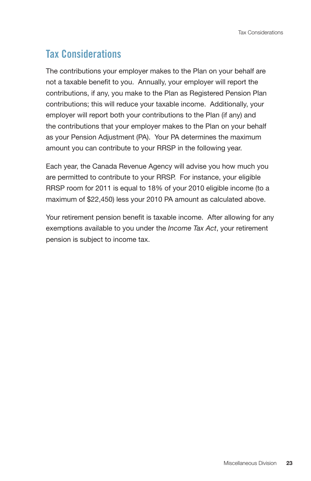# **Tax Considerations**

The contributions your employer makes to the Plan on your behalf are not a taxable benefit to you. Annually, your employer will report the contributions, if any, you make to the Plan as Registered Pension Plan contributions; this will reduce your taxable income. Additionally, your employer will report both your contributions to the Plan (if any) and the contributions that your employer makes to the Plan on your behalf as your Pension Adjustment (PA). Your PA determines the maximum amount you can contribute to your RRSP in the following year.

Each year, the Canada Revenue Agency will advise you how much you are permitted to contribute to your RRSP. For instance, your eligible RRSP room for 2011 is equal to 18% of your 2010 eligible income (to a maximum of \$22,450) less your 2010 PA amount as calculated above.

Your retirement pension benefit is taxable income. After allowing for any exemptions available to you under the *Income Tax Act*, your retirement pension is subject to income tax.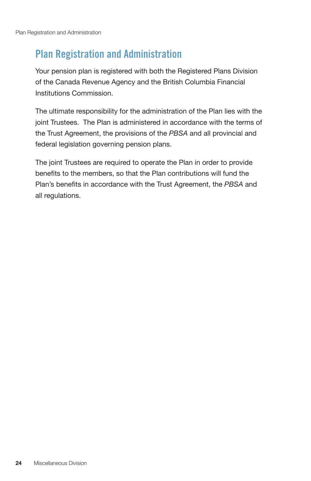# **Plan Registration and Administration**

Your pension plan is registered with both the Registered Plans Division of the Canada Revenue Agency and the British Columbia Financial Institutions Commission.

The ultimate responsibility for the administration of the Plan lies with the joint Trustees. The Plan is administered in accordance with the terms of the Trust Agreement, the provisions of the *PBSA* and all provincial and federal legislation governing pension plans.

The joint Trustees are required to operate the Plan in order to provide benefits to the members, so that the Plan contributions will fund the Plan's benefits in accordance with the Trust Agreement, the *PBSA* and all regulations.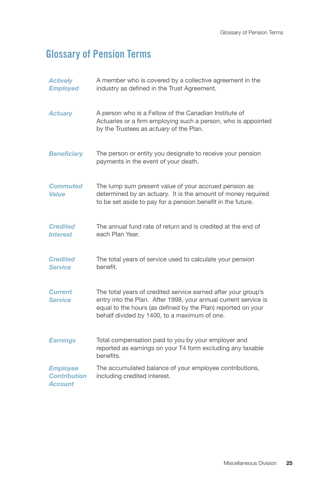# **Glossary of Pension Terms**

| <b>Actively</b><br><b>Employed</b>                       | A member who is covered by a collective agreement in the<br>industry as defined in the Trust Agreement.                                                                                                                                          |
|----------------------------------------------------------|--------------------------------------------------------------------------------------------------------------------------------------------------------------------------------------------------------------------------------------------------|
| <b>Actuary</b>                                           | A person who is a Fellow of the Canadian Institute of<br>Actuaries or a firm employing such a person, who is appointed<br>by the Trustees as actuary of the Plan.                                                                                |
| <b>Beneficiary</b>                                       | The person or entity you designate to receive your pension<br>payments in the event of your death.                                                                                                                                               |
| <b>Commuted</b><br><b>Value</b>                          | The lump sum present value of your accrued pension as<br>determined by an actuary. It is the amount of money required<br>to be set aside to pay for a pension benefit in the future.                                                             |
| <b>Credited</b><br><b>Interest</b>                       | The annual fund rate of return and is credited at the end of<br>each Plan Year.                                                                                                                                                                  |
| <b>Credited</b><br><b>Service</b>                        | The total years of service used to calculate your pension<br>benefit.                                                                                                                                                                            |
| <b>Current</b><br><b>Service</b>                         | The total years of credited service earned after your group's<br>entry into the Plan. After 1998, your annual current service is<br>equal to the hours (as defined by the Plan) reported on your<br>behalf divided by 1400, to a maximum of one. |
| <b>Earnings</b>                                          | Total compensation paid to you by your employer and<br>reported as earnings on your T4 form excluding any taxable<br>benefits.                                                                                                                   |
| <b>Employee</b><br><b>Contribution</b><br><b>Account</b> | The accumulated balance of your employee contributions,<br>including credited interest.                                                                                                                                                          |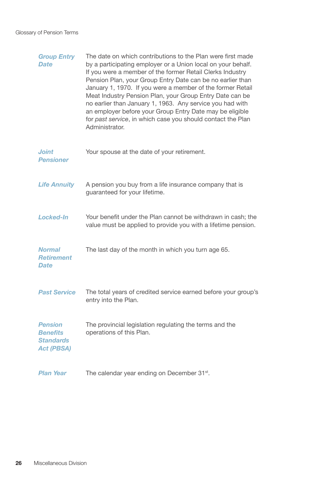| <b>Group Entry</b><br><b>Date</b>                                          | The date on which contributions to the Plan were first made<br>by a participating employer or a Union local on your behalf.<br>If you were a member of the former Retail Clerks Industry<br>Pension Plan, your Group Entry Date can be no earlier than<br>January 1, 1970. If you were a member of the former Retail<br>Meat Industry Pension Plan, your Group Entry Date can be<br>no earlier than January 1, 1963. Any service you had with<br>an employer before your Group Entry Date may be eligible<br>for past service, in which case you should contact the Plan<br>Administrator. |
|----------------------------------------------------------------------------|--------------------------------------------------------------------------------------------------------------------------------------------------------------------------------------------------------------------------------------------------------------------------------------------------------------------------------------------------------------------------------------------------------------------------------------------------------------------------------------------------------------------------------------------------------------------------------------------|
| <b>Joint</b><br><b>Pensioner</b>                                           | Your spouse at the date of your retirement.                                                                                                                                                                                                                                                                                                                                                                                                                                                                                                                                                |
| <b>Life Annuity</b>                                                        | A pension you buy from a life insurance company that is<br>guaranteed for your lifetime.                                                                                                                                                                                                                                                                                                                                                                                                                                                                                                   |
| <b>Locked-In</b>                                                           | Your benefit under the Plan cannot be withdrawn in cash; the<br>value must be applied to provide you with a lifetime pension.                                                                                                                                                                                                                                                                                                                                                                                                                                                              |
| <b>Normal</b><br><b>Retirement</b><br><b>Date</b>                          | The last day of the month in which you turn age 65.                                                                                                                                                                                                                                                                                                                                                                                                                                                                                                                                        |
| <b>Past Service</b>                                                        | The total years of credited service earned before your group's<br>entry into the Plan.                                                                                                                                                                                                                                                                                                                                                                                                                                                                                                     |
| <b>Pension</b><br><b>Benefits</b><br><b>Standards</b><br><b>Act (PBSA)</b> | The provincial legislation regulating the terms and the<br>operations of this Plan.                                                                                                                                                                                                                                                                                                                                                                                                                                                                                                        |
| <b>Plan Year</b>                                                           | The calendar year ending on December 31 <sup>st</sup> .                                                                                                                                                                                                                                                                                                                                                                                                                                                                                                                                    |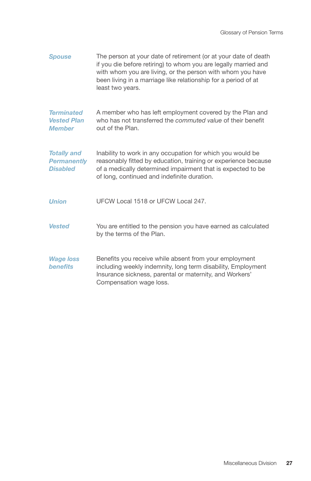| <b>Spouse</b>                                               | The person at your date of retirement (or at your date of death<br>if you die before retiring) to whom you are legally married and<br>with whom you are living, or the person with whom you have<br>been living in a marriage like relationship for a period of at<br>least two years. |
|-------------------------------------------------------------|----------------------------------------------------------------------------------------------------------------------------------------------------------------------------------------------------------------------------------------------------------------------------------------|
| <b>Terminated</b><br><b>Vested Plan</b><br><b>Member</b>    | A member who has left employment covered by the Plan and<br>who has not transferred the commuted value of their benefit<br>out of the Plan.                                                                                                                                            |
| <b>Totally and</b><br><b>Permanently</b><br><b>Disabled</b> | Inability to work in any occupation for which you would be<br>reasonably fitted by education, training or experience because<br>of a medically determined impairment that is expected to be<br>of long, continued and indefinite duration.                                             |
| <b>Union</b>                                                | UFCW Local 1518 or UFCW Local 247.                                                                                                                                                                                                                                                     |
| <b>Vested</b>                                               | You are entitled to the pension you have earned as calculated<br>by the terms of the Plan.                                                                                                                                                                                             |
| <b>Wage loss</b><br><b>benefits</b>                         | Benefits you receive while absent from your employment<br>including weekly indemnity, long term disability, Employment<br>Insurance sickness, parental or maternity, and Workers'<br>Compensation wage loss.                                                                           |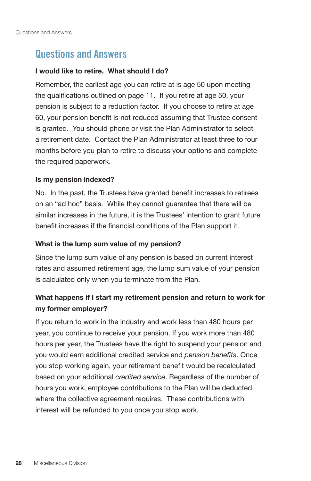### **Questions and Answers**

#### **I would like to retire. What should I do?**

Remember, the earliest age you can retire at is age 50 upon meeting the qualifications outlined on page 11. If you retire at age 50, your pension is subject to a reduction factor. If you choose to retire at age 60, your pension benefit is not reduced assuming that Trustee consent is granted. You should phone or visit the Plan Administrator to select a retirement date. Contact the Plan Administrator at least three to four months before you plan to retire to discuss your options and complete the required paperwork.

#### **Is my pension indexed?**

No. In the past, the Trustees have granted benefit increases to retirees on an "ad hoc" basis. While they cannot guarantee that there will be similar increases in the future, it is the Trustees' intention to grant future benefit increases if the financial conditions of the Plan support it.

#### **What is the lump sum value of my pension?**

Since the lump sum value of any pension is based on current interest rates and assumed retirement age, the lump sum value of your pension is calculated only when you terminate from the Plan.

### **What happens if I start my retirement pension and return to work for my former employer?**

If you return to work in the industry and work less than 480 hours per year, you continue to receive your pension. If you work more than 480 hours per year, the Trustees have the right to suspend your pension and you would earn additional credited service and *pension benefits*. Once you stop working again, your retirement benefit would be recalculated based on your additional *credited service*. Regardless of the number of hours you work, employee contributions to the Plan will be deducted where the collective agreement requires. These contributions with interest will be refunded to you once you stop work.